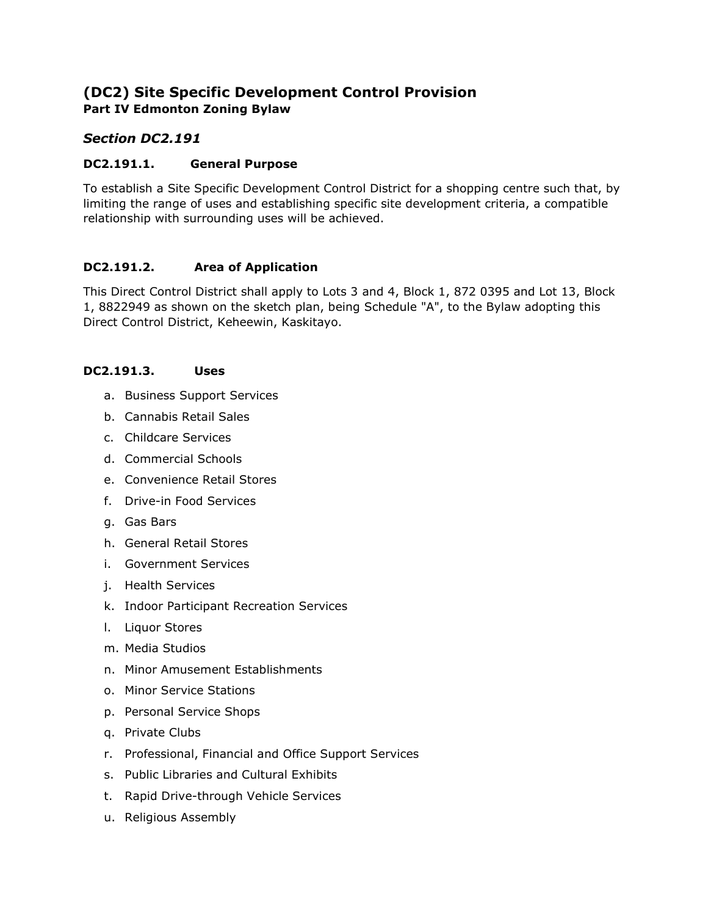# **(DC2) Site Specific Development Control Provision Part IV Edmonton Zoning Bylaw**

## *Section DC2.191*

#### **DC2.191.1. General Purpose**

To establish a Site Specific Development Control District for a shopping centre such that, by limiting the range of uses and establishing specific site development criteria, a compatible relationship with surrounding uses will be achieved.

### **DC2.191.2. Area of Application**

This Direct Control District shall apply to Lots 3 and 4, Block 1, 872 0395 and Lot 13, Block 1, 8822949 as shown on the sketch plan, being Schedule "A", to the Bylaw adopting this Direct Control District, Keheewin, Kaskitayo.

#### **DC2.191.3. Uses**

- a. Business Support Services
- b. Cannabis Retail Sales
- c. Childcare Services
- d. Commercial Schools
- e. Convenience Retail Stores
- f. Drive-in Food Services
- g. Gas Bars
- h. General Retail Stores
- i. Government Services
- j. Health Services
- k. Indoor Participant Recreation Services
- l. Liquor Stores
- m. Media Studios
- n. Minor Amusement Establishments
- o. Minor Service Stations
- p. Personal Service Shops
- q. Private Clubs
- r. Professional, Financial and Office Support Services
- s. Public Libraries and Cultural Exhibits
- t. Rapid Drive-through Vehicle Services
- u. Religious Assembly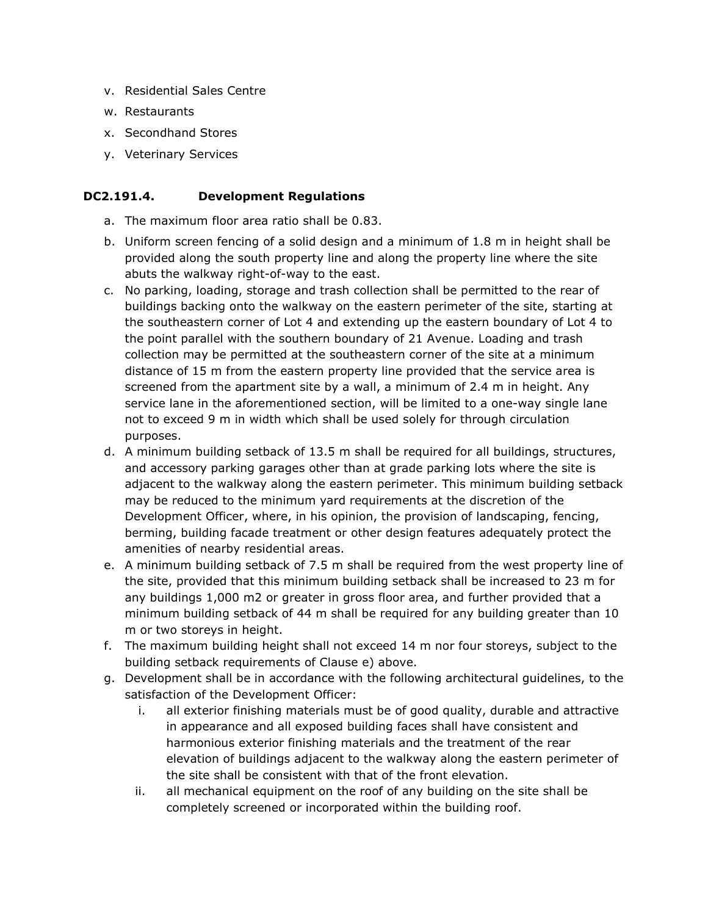- v. Residential Sales Centre
- w. Restaurants
- x. Secondhand Stores
- y. Veterinary Services

#### **DC2.191.4. Development Regulations**

- a. The maximum floor area ratio shall be 0.83.
- b. Uniform screen fencing of a solid design and a minimum of 1.8 m in height shall be provided along the south property line and along the property line where the site abuts the walkway right-of-way to the east.
- c. No parking, loading, storage and trash collection shall be permitted to the rear of buildings backing onto the walkway on the eastern perimeter of the site, starting at the southeastern corner of Lot 4 and extending up the eastern boundary of Lot 4 to the point parallel with the southern boundary of 21 Avenue. Loading and trash collection may be permitted at the southeastern corner of the site at a minimum distance of 15 m from the eastern property line provided that the service area is screened from the apartment site by a wall, a minimum of 2.4 m in height. Any service lane in the aforementioned section, will be limited to a one-way single lane not to exceed 9 m in width which shall be used solely for through circulation purposes.
- d. A minimum building setback of 13.5 m shall be required for all buildings, structures, and accessory parking garages other than at grade parking lots where the site is adjacent to the walkway along the eastern perimeter. This minimum building setback may be reduced to the minimum yard requirements at the discretion of the Development Officer, where, in his opinion, the provision of landscaping, fencing, berming, building facade treatment or other design features adequately protect the amenities of nearby residential areas.
- e. A minimum building setback of 7.5 m shall be required from the west property line of the site, provided that this minimum building setback shall be increased to 23 m for any buildings 1,000 m2 or greater in gross floor area, and further provided that a minimum building setback of 44 m shall be required for any building greater than 10 m or two storeys in height.
- f. The maximum building height shall not exceed 14 m nor four storeys, subject to the building setback requirements of Clause e) above.
- g. Development shall be in accordance with the following architectural guidelines, to the satisfaction of the Development Officer:
	- i. all exterior finishing materials must be of good quality, durable and attractive in appearance and all exposed building faces shall have consistent and harmonious exterior finishing materials and the treatment of the rear elevation of buildings adjacent to the walkway along the eastern perimeter of the site shall be consistent with that of the front elevation.
	- ii. all mechanical equipment on the roof of any building on the site shall be completely screened or incorporated within the building roof.